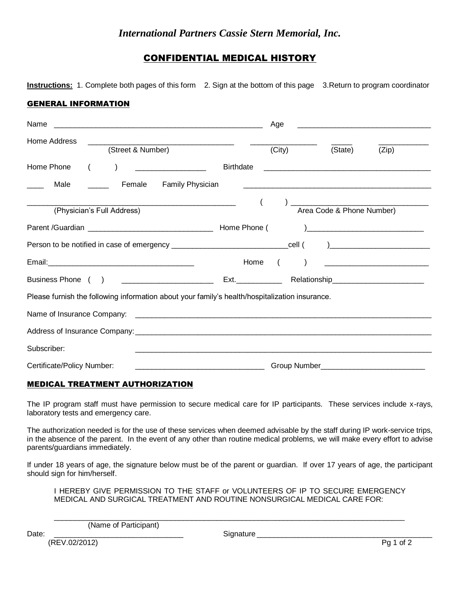## *International Partners Cassie Stern Memorial, Inc.*

## CONFIDENTIAL MEDICAL HISTORY

**Instructions:** 1. Complete both pages of this form 2. Sign at the bottom of this page 3.Return to program coordinator

## GENERAL INFORMATION

| Name                                                                                                           | Age                                                                                                                 |
|----------------------------------------------------------------------------------------------------------------|---------------------------------------------------------------------------------------------------------------------|
| Home Address<br>(Street & Number)                                                                              | (City)<br>(State)<br>(Zip)                                                                                          |
| Home Phone<br><b>Birthdate</b>                                                                                 | <u> 2000 - Jan Barbara de Santo Alemania de Santo Alemania de Santo Alemán de Santo Alemán de Santo Alemán de S</u> |
| Male<br>Female<br>Family Physician                                                                             |                                                                                                                     |
| <u> 1989 - Johann Stoff, Amerikaansk politiker (</u><br>(Physician's Full Address)                             | Area Code & Phone Number)<br>$\left($                                                                               |
|                                                                                                                |                                                                                                                     |
| Person to be notified in case of emergency ______________________________cell ( )_____________________________ |                                                                                                                     |
|                                                                                                                | Home (                                                                                                              |
| Business Phone ( ) <u>_____________________</u>                                                                |                                                                                                                     |
| Please furnish the following information about your family's health/hospitalization insurance.                 |                                                                                                                     |
|                                                                                                                |                                                                                                                     |
|                                                                                                                |                                                                                                                     |
| Subscriber:                                                                                                    |                                                                                                                     |
| Certificate/Policy Number:                                                                                     |                                                                                                                     |

## MEDICAL TREATMENT AUTHORIZATION

The IP program staff must have permission to secure medical care for IP participants. These services include x-rays, laboratory tests and emergency care.

The authorization needed is for the use of these services when deemed advisable by the staff during IP work-service trips, in the absence of the parent. In the event of any other than routine medical problems, we will make every effort to advise parents/guardians immediately.

If under 18 years of age, the signature below must be of the parent or guardian. If over 17 years of age, the participant should sign for him/herself.

I HEREBY GIVE PERMISSION TO THE STAFF or VOLUNTEERS OF IP TO SECURE EMERGENCY MEDICAL AND SURGICAL TREATMENT AND ROUTINE NONSURGICAL MEDICAL CARE FOR:

 $\_$  ,  $\_$  ,  $\_$  ,  $\_$  ,  $\_$  ,  $\_$  ,  $\_$  ,  $\_$  ,  $\_$  ,  $\_$  ,  $\_$  ,  $\_$  ,  $\_$  ,  $\_$  ,  $\_$  ,  $\_$  ,  $\_$  ,  $\_$  ,  $\_$  ,  $\_$  ,  $\_$  ,  $\_$  ,  $\_$  ,  $\_$  ,  $\_$  ,  $\_$  ,  $\_$  ,  $\_$  ,  $\_$  ,  $\_$  ,  $\_$  ,  $\_$  ,  $\_$  ,  $\_$  ,  $\_$  ,  $\_$  ,  $\_$  ,

(Name of Participant)

Date: \_\_\_\_\_\_\_\_\_\_\_\_\_\_\_\_\_\_\_\_\_\_\_\_\_\_\_\_\_\_\_ Signature \_\_\_\_\_\_\_\_\_\_\_\_\_\_\_\_\_\_\_\_\_\_\_\_\_\_\_\_\_\_\_\_\_\_\_\_\_\_\_\_\_\_